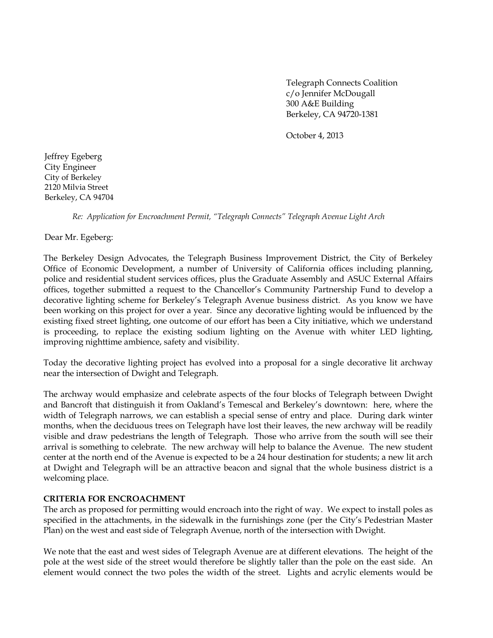Telegraph Connects Coalition c/o Jennifer McDougall 300 A&E Building Berkeley, CA 94720-1381

October 4, 2013

Jeffrey Egeberg City Engineer City of Berkeley 2120 Milvia Street Berkeley, CA 94704

*Re: Application for Encroachment Permit, "Telegraph Connects" Telegraph Avenue Light Arch*

Dear Mr. Egeberg:

The Berkeley Design Advocates, the Telegraph Business Improvement District, the City of Berkeley Office of Economic Development, a number of University of California offices including planning, police and residential student services offices, plus the Graduate Assembly and ASUC External Affairs offices, together submitted a request to the Chancellor's Community Partnership Fund to develop a decorative lighting scheme for Berkeley's Telegraph Avenue business district. As you know we have been working on this project for over a year. Since any decorative lighting would be influenced by the existing fixed street lighting, one outcome of our effort has been a City initiative, which we understand is proceeding, to replace the existing sodium lighting on the Avenue with whiter LED lighting, improving nighttime ambience, safety and visibility.

Today the decorative lighting project has evolved into a proposal for a single decorative lit archway near the intersection of Dwight and Telegraph.

The archway would emphasize and celebrate aspects of the four blocks of Telegraph between Dwight and Bancroft that distinguish it from Oakland's Temescal and Berkeley's downtown: here, where the width of Telegraph narrows, we can establish a special sense of entry and place. During dark winter months, when the deciduous trees on Telegraph have lost their leaves, the new archway will be readily visible and draw pedestrians the length of Telegraph. Those who arrive from the south will see their arrival is something to celebrate. The new archway will help to balance the Avenue. The new student center at the north end of the Avenue is expected to be a 24 hour destination for students; a new lit arch at Dwight and Telegraph will be an attractive beacon and signal that the whole business district is a welcoming place.

#### **CRITERIA FOR ENCROACHMENT**

The arch as proposed for permitting would encroach into the right of way. We expect to install poles as specified in the attachments, in the sidewalk in the furnishings zone (per the City's Pedestrian Master Plan) on the west and east side of Telegraph Avenue, north of the intersection with Dwight.

We note that the east and west sides of Telegraph Avenue are at different elevations. The height of the pole at the west side of the street would therefore be slightly taller than the pole on the east side. An element would connect the two poles the width of the street. Lights and acrylic elements would be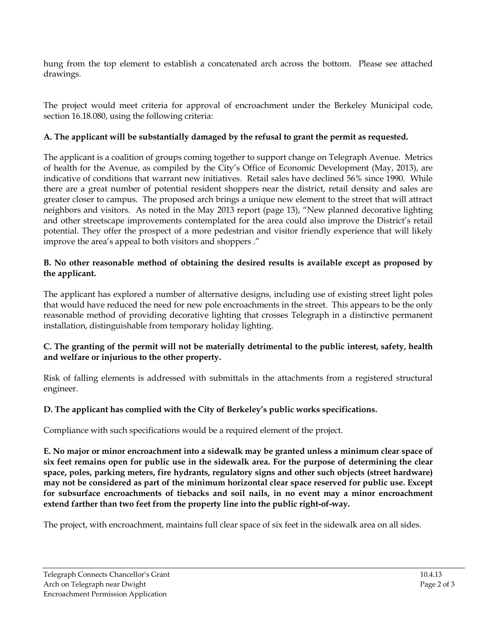hung from the top element to establish a concatenated arch across the bottom. Please see attached drawings.

The project would meet criteria for approval of encroachment under the Berkeley Municipal code, section 16.18.080, using the following criteria:

## **A. The applicant will be substantially damaged by the refusal to grant the permit as requested.**

The applicant is a coalition of groups coming together to support change on Telegraph Avenue. Metrics of health for the Avenue, as compiled by the City's Office of Economic Development (May, 2013), are indicative of conditions that warrant new initiatives. Retail sales have declined 56% since 1990. While there are a great number of potential resident shoppers near the district, retail density and sales are greater closer to campus. The proposed arch brings a unique new element to the street that will attract neighbors and visitors. As noted in the May 2013 report (page 13), "New planned decorative lighting and other streetscape improvements contemplated for the area could also improve the District's retail potential. They offer the prospect of a more pedestrian and visitor friendly experience that will likely improve the area's appeal to both visitors and shoppers ."

#### **B. No other reasonable method of obtaining the desired results is available except as proposed by the applicant.**

The applicant has explored a number of alternative designs, including use of existing street light poles that would have reduced the need for new pole encroachments in the street. This appears to be the only reasonable method of providing decorative lighting that crosses Telegraph in a distinctive permanent installation, distinguishable from temporary holiday lighting.

### **C. The granting of the permit will not be materially detrimental to the public interest, safety, health and welfare or injurious to the other property.**

Risk of falling elements is addressed with submittals in the attachments from a registered structural engineer.

# **D. The applicant has complied with the City of Berkeley's public works specifications.**

Compliance with such specifications would be a required element of the project.

**E. No major or minor encroachment into a sidewalk may be granted unless a minimum clear space of six feet remains open for public use in the sidewalk area. For the purpose of determining the clear space, poles, parking meters, fire hydrants, regulatory signs and other such objects (street hardware) may not be considered as part of the minimum horizontal clear space reserved for public use. Except for subsurface encroachments of tiebacks and soil nails, in no event may a minor encroachment extend farther than two feet from the property line into the public right-of-way.**

The project, with encroachment, maintains full clear space of six feet in the sidewalk area on all sides.